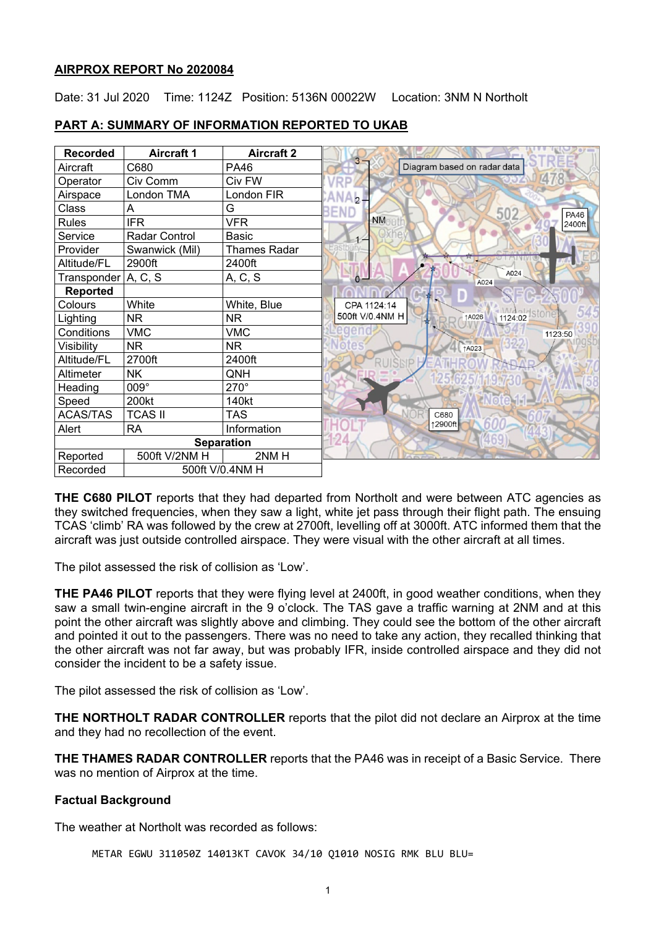#### **AIRPROX REPORT No 2020084**

Date: 31 Jul 2020 Time: 1124Z Position: 5136N 00022W Location: 3NM N Northolt

| <b>Recorded</b>             | <b>Aircraft 1</b> | <b>Aircraft 2</b>   |                                       |
|-----------------------------|-------------------|---------------------|---------------------------------------|
| Aircraft                    | C680              | PA46                | Diagram based on radar data           |
| Operator                    | Civ Comm          | Civ FW              |                                       |
| Airspace                    | London TMA        | London FIR          | $-2-$                                 |
| Class                       | Α                 | G                   | 502<br><b>END</b><br><b>PA46</b>      |
| <b>Rules</b>                | <b>IFR</b>        | <b>VFR</b>          | <b>NM</b><br>2400ft                   |
| Service                     | Radar Control     | Basic               |                                       |
| Provider                    | Swanwick (Mil)    | <b>Thames Radar</b> |                                       |
| Altitude/FL                 | 2900ft            | 2400ft              |                                       |
| Transponder A, C, S         |                   | A, C, S             | A024<br>$\ddot{\mathbf{0}}$ -<br>A024 |
| <b>Reported</b>             |                   |                     |                                       |
| Colours                     | White             | White, Blue         | CPA 1124:14                           |
| Lighting                    | <b>NR</b>         | NR.                 | 1124:02<br>500ft V/0.4NM H<br>↑A026   |
| Conditions                  | <b>VMC</b>        | <b>VMC</b>          | 1123:50                               |
| Visibility                  | <b>NR</b>         | <b>NR</b>           | ↑A023                                 |
| Altitude/FL                 | 2700ft            | 2400ft              |                                       |
| Altimeter                   | <b>NK</b>         | QNH                 |                                       |
| Heading                     | 009°              | $270^\circ$         |                                       |
| Speed                       | 200kt             | 140kt               |                                       |
| <b>ACAS/TAS</b>             | <b>TCAS II</b>    | <b>TAS</b>          | C680                                  |
| Alert                       | <b>RA</b>         | Information         | 12900ft                               |
|                             |                   | <b>Separation</b>   |                                       |
| Reported                    | 500ft V/2NM H     | 2NMH                |                                       |
| 500ft V/0.4NM H<br>Recorded |                   |                     |                                       |

## **PART A: SUMMARY OF INFORMATION REPORTED TO UKAB**

**THE C680 PILOT** reports that they had departed from Northolt and were between ATC agencies as they switched frequencies, when they saw a light, white jet pass through their flight path. The ensuing TCAS 'climb' RA was followed by the crew at 2700ft, levelling off at 3000ft. ATC informed them that the aircraft was just outside controlled airspace. They were visual with the other aircraft at all times.

The pilot assessed the risk of collision as 'Low'.

**THE PA46 PILOT** reports that they were flying level at 2400ft, in good weather conditions, when they saw a small twin-engine aircraft in the 9 o'clock. The TAS gave a traffic warning at 2NM and at this point the other aircraft was slightly above and climbing. They could see the bottom of the other aircraft and pointed it out to the passengers. There was no need to take any action, they recalled thinking that the other aircraft was not far away, but was probably IFR, inside controlled airspace and they did not consider the incident to be a safety issue.

The pilot assessed the risk of collision as 'Low'.

**THE NORTHOLT RADAR CONTROLLER** reports that the pilot did not declare an Airprox at the time and they had no recollection of the event.

**THE THAMES RADAR CONTROLLER** reports that the PA46 was in receipt of a Basic Service. There was no mention of Airprox at the time.

### **Factual Background**

The weather at Northolt was recorded as follows:

METAR EGWU 311050Z 14013KT CAVOK 34/10 Q1010 NOSIG RMK BLU BLU=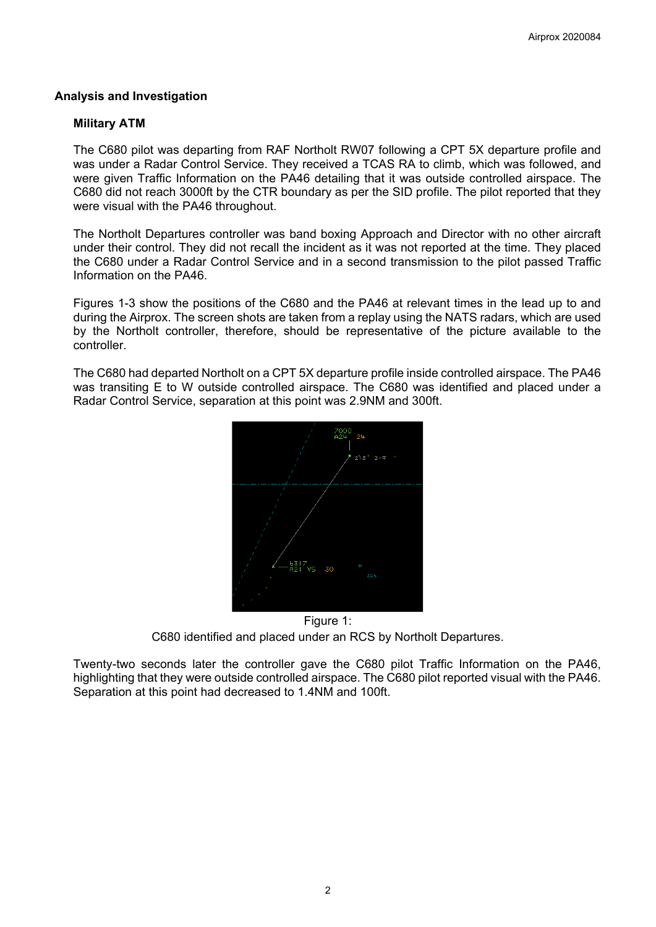## **Analysis and Investigation**

#### **Military ATM**

The C680 pilot was departing from RAF Northolt RW07 following a CPT 5X departure profile and was under a Radar Control Service. They received a TCAS RA to climb, which was followed, and were given Traffic Information on the PA46 detailing that it was outside controlled airspace. The C680 did not reach 3000ft by the CTR boundary as per the SID profile. The pilot reported that they were visual with the PA46 throughout.

The Northolt Departures controller was band boxing Approach and Director with no other aircraft under their control. They did not recall the incident as it was not reported at the time. They placed the C680 under a Radar Control Service and in a second transmission to the pilot passed Traffic Information on the PA46.

Figures 1-3 show the positions of the C680 and the PA46 at relevant times in the lead up to and during the Airprox. The screen shots are taken from a replay using the NATS radars, which are used by the Northolt controller, therefore, should be representative of the picture available to the controller.

The C680 had departed Northolt on a CPT 5X departure profile inside controlled airspace. The PA46 was transiting E to W outside controlled airspace. The C680 was identified and placed under a Radar Control Service, separation at this point was 2.9NM and 300ft.



Figure 1: C680 identified and placed under an RCS by Northolt Departures.

Twenty-two seconds later the controller gave the C680 pilot Traffic Information on the PA46, highlighting that they were outside controlled airspace. The C680 pilot reported visual with the PA46. Separation at this point had decreased to 1.4NM and 100ft.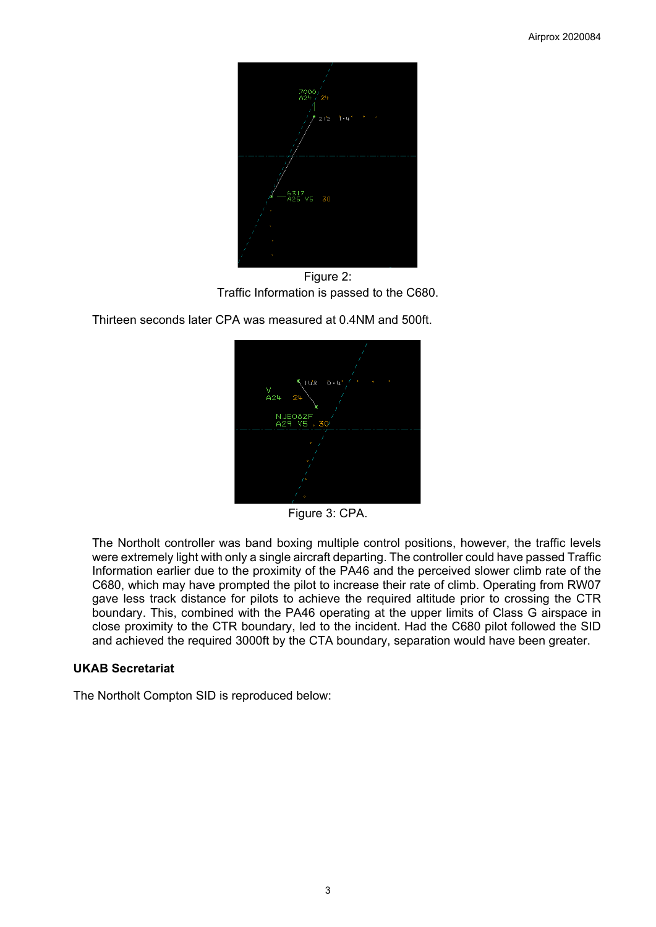

Figure 2: Traffic Information is passed to the C680.

Thirteen seconds later CPA was measured at 0.4NM and 500ft.



Figure 3: CPA.

The Northolt controller was band boxing multiple control positions, however, the traffic levels were extremely light with only a single aircraft departing. The controller could have passed Traffic Information earlier due to the proximity of the PA46 and the perceived slower climb rate of the C680, which may have prompted the pilot to increase their rate of climb. Operating from RW07 gave less track distance for pilots to achieve the required altitude prior to crossing the CTR boundary. This, combined with the PA46 operating at the upper limits of Class G airspace in close proximity to the CTR boundary, led to the incident. Had the C680 pilot followed the SID and achieved the required 3000ft by the CTA boundary, separation would have been greater.

### **UKAB Secretariat**

The Northolt Compton SID is reproduced below: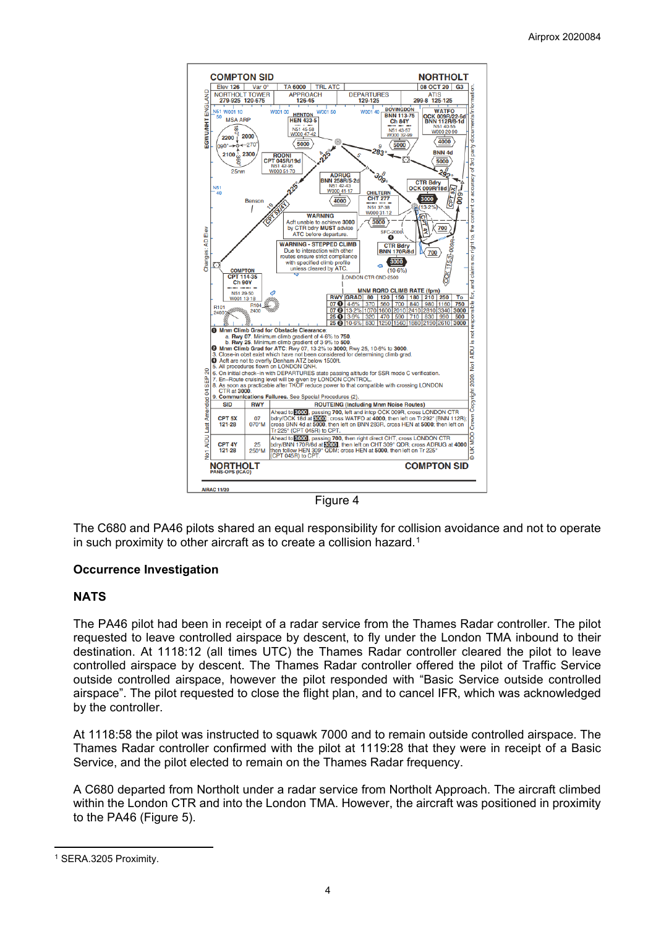

Figure 4

The C680 and PA46 pilots shared an equal responsibility for collision avoidance and not to operate in such proximity to other aircraft as to create a collision hazard.<sup>[1](#page-3-0)</sup>

### **Occurrence Investigation**

### **NATS**

The PA46 pilot had been in receipt of a radar service from the Thames Radar controller. The pilot requested to leave controlled airspace by descent, to fly under the London TMA inbound to their destination. At 1118:12 (all times UTC) the Thames Radar controller cleared the pilot to leave controlled airspace by descent. The Thames Radar controller offered the pilot of Traffic Service outside controlled airspace, however the pilot responded with "Basic Service outside controlled airspace". The pilot requested to close the flight plan, and to cancel IFR, which was acknowledged by the controller.

At 1118:58 the pilot was instructed to squawk 7000 and to remain outside controlled airspace. The Thames Radar controller confirmed with the pilot at 1119:28 that they were in receipt of a Basic Service, and the pilot elected to remain on the Thames Radar frequency.

A C680 departed from Northolt under a radar service from Northolt Approach. The aircraft climbed within the London CTR and into the London TMA. However, the aircraft was positioned in proximity to the PA46 (Figure 5).

<span id="page-3-0"></span><sup>1</sup> SERA.3205 Proximity.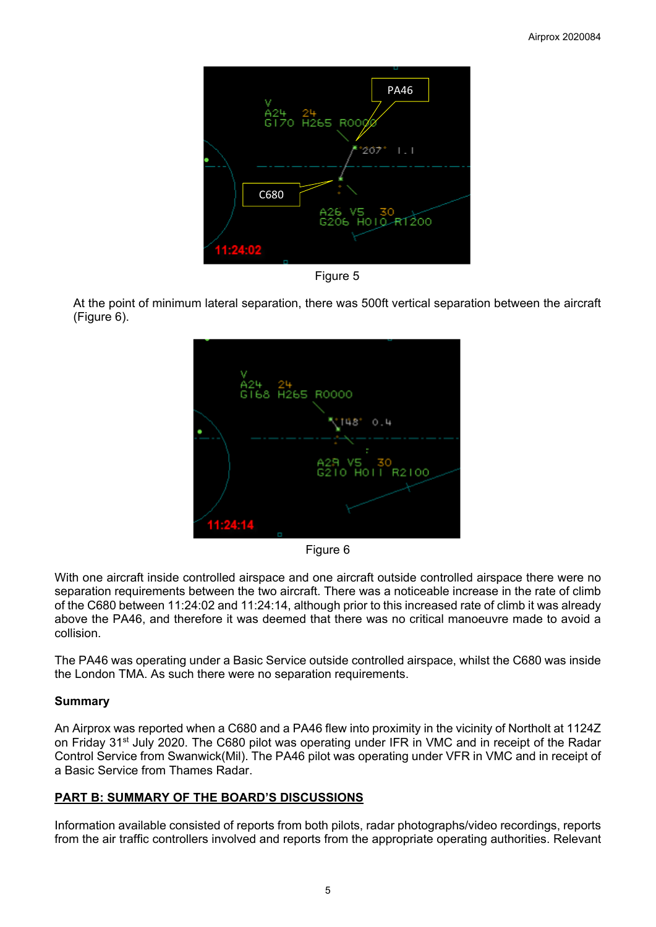

Figure 5

At the point of minimum lateral separation, there was 500ft vertical separation between the aircraft (Figure 6).



Figure 6

With one aircraft inside controlled airspace and one aircraft outside controlled airspace there were no separation requirements between the two aircraft. There was a noticeable increase in the rate of climb of the C680 between 11:24:02 and 11:24:14, although prior to this increased rate of climb it was already above the PA46, and therefore it was deemed that there was no critical manoeuvre made to avoid a collision.

The PA46 was operating under a Basic Service outside controlled airspace, whilst the C680 was inside the London TMA. As such there were no separation requirements.

# **Summary**

An Airprox was reported when a C680 and a PA46 flew into proximity in the vicinity of Northolt at 1124Z on Friday 31<sup>st</sup> July 2020. The C680 pilot was operating under IFR in VMC and in receipt of the Radar Control Service from Swanwick(Mil). The PA46 pilot was operating under VFR in VMC and in receipt of a Basic Service from Thames Radar.

# **PART B: SUMMARY OF THE BOARD'S DISCUSSIONS**

Information available consisted of reports from both pilots, radar photographs/video recordings, reports from the air traffic controllers involved and reports from the appropriate operating authorities. Relevant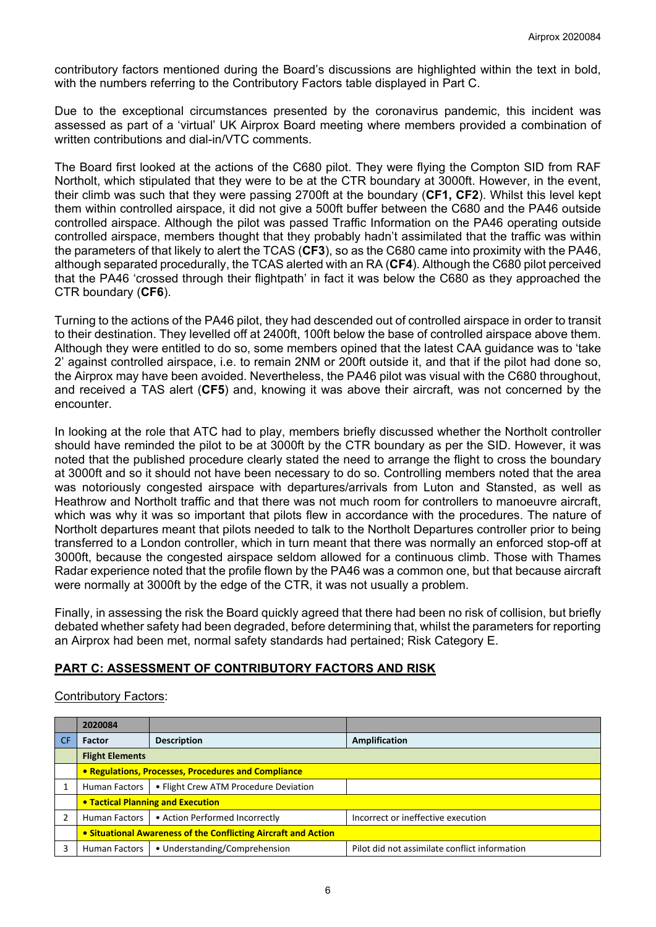contributory factors mentioned during the Board's discussions are highlighted within the text in bold, with the numbers referring to the Contributory Factors table displayed in Part C.

Due to the exceptional circumstances presented by the coronavirus pandemic, this incident was assessed as part of a 'virtual' UK Airprox Board meeting where members provided a combination of written contributions and dial-in/VTC comments.

The Board first looked at the actions of the C680 pilot. They were flying the Compton SID from RAF Northolt, which stipulated that they were to be at the CTR boundary at 3000ft. However, in the event, their climb was such that they were passing 2700ft at the boundary (**CF1, CF2**). Whilst this level kept them within controlled airspace, it did not give a 500ft buffer between the C680 and the PA46 outside controlled airspace. Although the pilot was passed Traffic Information on the PA46 operating outside controlled airspace, members thought that they probably hadn't assimilated that the traffic was within the parameters of that likely to alert the TCAS (**CF3**), so as the C680 came into proximity with the PA46, although separated procedurally, the TCAS alerted with an RA (**CF4**). Although the C680 pilot perceived that the PA46 'crossed through their flightpath' in fact it was below the C680 as they approached the CTR boundary (**CF6**).

Turning to the actions of the PA46 pilot, they had descended out of controlled airspace in order to transit to their destination. They levelled off at 2400ft, 100ft below the base of controlled airspace above them. Although they were entitled to do so, some members opined that the latest CAA guidance was to 'take 2' against controlled airspace, i.e. to remain 2NM or 200ft outside it, and that if the pilot had done so, the Airprox may have been avoided. Nevertheless, the PA46 pilot was visual with the C680 throughout, and received a TAS alert (**CF5**) and, knowing it was above their aircraft, was not concerned by the encounter.

In looking at the role that ATC had to play, members briefly discussed whether the Northolt controller should have reminded the pilot to be at 3000ft by the CTR boundary as per the SID. However, it was noted that the published procedure clearly stated the need to arrange the flight to cross the boundary at 3000ft and so it should not have been necessary to do so. Controlling members noted that the area was notoriously congested airspace with departures/arrivals from Luton and Stansted, as well as Heathrow and Northolt traffic and that there was not much room for controllers to manoeuvre aircraft, which was why it was so important that pilots flew in accordance with the procedures. The nature of Northolt departures meant that pilots needed to talk to the Northolt Departures controller prior to being transferred to a London controller, which in turn meant that there was normally an enforced stop-off at 3000ft, because the congested airspace seldom allowed for a continuous climb. Those with Thames Radar experience noted that the profile flown by the PA46 was a common one, but that because aircraft were normally at 3000ft by the edge of the CTR, it was not usually a problem.

Finally, in assessing the risk the Board quickly agreed that there had been no risk of collision, but briefly debated whether safety had been degraded, before determining that, whilst the parameters for reporting an Airprox had been met, normal safety standards had pertained; Risk Category E.

### **PART C: ASSESSMENT OF CONTRIBUTORY FACTORS AND RISK**

### Contributory Factors:

|           | 2020084                                                        |                                       |                                               |  |  |
|-----------|----------------------------------------------------------------|---------------------------------------|-----------------------------------------------|--|--|
| <b>CF</b> | <b>Factor</b>                                                  | <b>Description</b>                    | Amplification                                 |  |  |
|           | <b>Flight Elements</b>                                         |                                       |                                               |  |  |
|           | • Regulations, Processes, Procedures and Compliance            |                                       |                                               |  |  |
|           | Human Factors                                                  | • Flight Crew ATM Procedure Deviation |                                               |  |  |
|           | • Tactical Planning and Execution                              |                                       |                                               |  |  |
|           | Human Factors                                                  | • Action Performed Incorrectly        | Incorrect or ineffective execution            |  |  |
|           | • Situational Awareness of the Conflicting Aircraft and Action |                                       |                                               |  |  |
|           | <b>Human Factors</b>                                           | • Understanding/Comprehension         | Pilot did not assimilate conflict information |  |  |